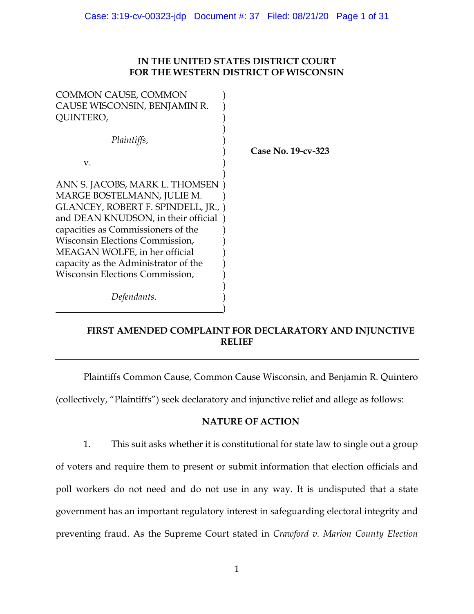## **IN THE UNITED STATES DISTRICT COURT FOR THE WESTERN DISTRICT OF WISCONSIN**

| <b>COMMON CAUSE, COMMON</b><br>CAUSE WISCONSIN, BENJAMIN R.<br>QUINTERO,                                                                                                                                                                                                                                                        |                    |
|---------------------------------------------------------------------------------------------------------------------------------------------------------------------------------------------------------------------------------------------------------------------------------------------------------------------------------|--------------------|
| Plaintiffs,<br>V.                                                                                                                                                                                                                                                                                                               | Case No. 19-cv-323 |
| ANN S. JACOBS, MARK L. THOMSEN<br>MARGE BOSTELMANN, JULIE M.<br>GLANCEY, ROBERT F. SPINDELL, JR., )<br>and DEAN KNUDSON, in their official<br>capacities as Commissioners of the<br>Wisconsin Elections Commission,<br>MEAGAN WOLFE, in her official<br>capacity as the Administrator of the<br>Wisconsin Elections Commission, |                    |
| Defendants.                                                                                                                                                                                                                                                                                                                     |                    |

# **FIRST AMENDED COMPLAINT FOR DECLARATORY AND INJUNCTIVE RELIEF**

Plaintiffs Common Cause, Common Cause Wisconsin, and Benjamin R. Quintero

(collectively, "Plaintiffs") seek declaratory and injunctive relief and allege as follows:

## **NATURE OF ACTION**

1. This suit asks whether it is constitutional for state law to single out a group of voters and require them to present or submit information that election officials and poll workers do not need and do not use in any way. It is undisputed that a state government has an important regulatory interest in safeguarding electoral integrity and preventing fraud. As the Supreme Court stated in *Crawford v. Marion County Election*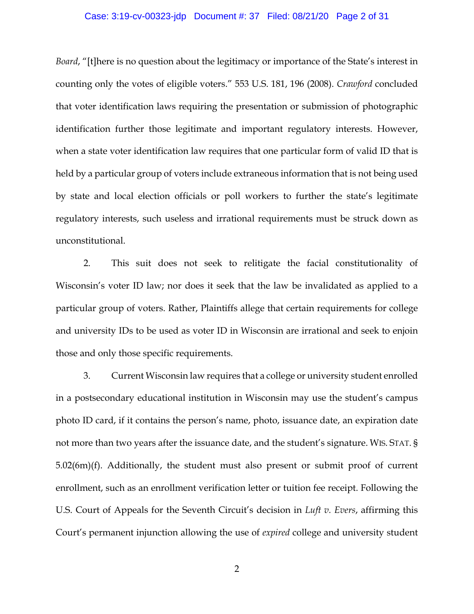#### Case: 3:19-cv-00323-jdp Document #: 37 Filed: 08/21/20 Page 2 of 31

*Board*, "[t]here is no question about the legitimacy or importance of the State's interest in counting only the votes of eligible voters." 553 U.S. 181, 196 (2008). *Crawford* concluded that voter identification laws requiring the presentation or submission of photographic identification further those legitimate and important regulatory interests. However, when a state voter identification law requires that one particular form of valid ID that is held by a particular group of voters include extraneous information that is not being used by state and local election officials or poll workers to further the state's legitimate regulatory interests, such useless and irrational requirements must be struck down as unconstitutional.

2. This suit does not seek to relitigate the facial constitutionality of Wisconsin's voter ID law; nor does it seek that the law be invalidated as applied to a particular group of voters. Rather, Plaintiffs allege that certain requirements for college and university IDs to be used as voter ID in Wisconsin are irrational and seek to enjoin those and only those specific requirements.

3. Current Wisconsin law requires that a college or university student enrolled in a postsecondary educational institution in Wisconsin may use the student's campus photo ID card, if it contains the person's name, photo, issuance date, an expiration date not more than two years after the issuance date, and the student's signature. WIS. STAT. § 5.02(6m)(f). Additionally, the student must also present or submit proof of current enrollment, such as an enrollment verification letter or tuition fee receipt. Following the U.S. Court of Appeals for the Seventh Circuit's decision in *Luft v. Evers*, affirming this Court's permanent injunction allowing the use of *expired* college and university student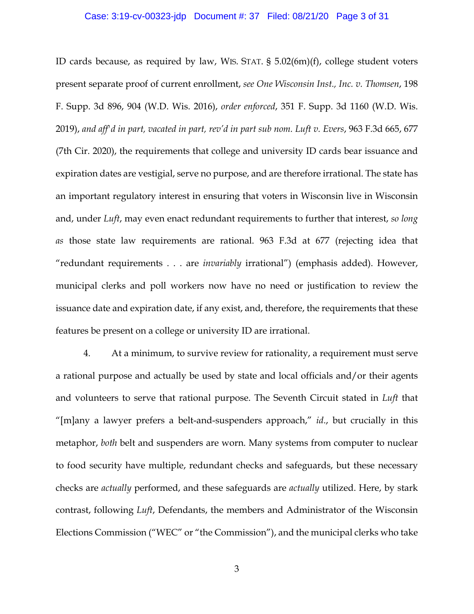#### Case: 3:19-cv-00323-jdp Document #: 37 Filed: 08/21/20 Page 3 of 31

ID cards because, as required by law, WIS. STAT. § 5.02(6m)(f), college student voters present separate proof of current enrollment, *see One Wisconsin Inst., Inc. v. Thomsen*, 198 F. Supp. 3d 896, 904 (W.D. Wis. 2016), *order enforced*, 351 F. Supp. 3d 1160 (W.D. Wis. 2019), *and aff'd in part, vacated in part, rev'd in part sub nom. Luft v. Evers*, 963 F.3d 665, 677 (7th Cir. 2020), the requirements that college and university ID cards bear issuance and expiration dates are vestigial, serve no purpose, and are therefore irrational. The state has an important regulatory interest in ensuring that voters in Wisconsin live in Wisconsin and, under *Luft*, may even enact redundant requirements to further that interest, *so long as* those state law requirements are rational. 963 F.3d at 677 (rejecting idea that "redundant requirements . . . are *invariably* irrational") (emphasis added). However, municipal clerks and poll workers now have no need or justification to review the issuance date and expiration date, if any exist, and, therefore, the requirements that these features be present on a college or university ID are irrational.

4. At a minimum, to survive review for rationality, a requirement must serve a rational purpose and actually be used by state and local officials and/or their agents and volunteers to serve that rational purpose. The Seventh Circuit stated in *Luft* that "[m]any a lawyer prefers a belt-and-suspenders approach," *id*., but crucially in this metaphor, *both* belt and suspenders are worn. Many systems from computer to nuclear to food security have multiple, redundant checks and safeguards, but these necessary checks are *actually* performed, and these safeguards are *actually* utilized. Here, by stark contrast, following *Luft*, Defendants, the members and Administrator of the Wisconsin Elections Commission ("WEC" or "the Commission"), and the municipal clerks who take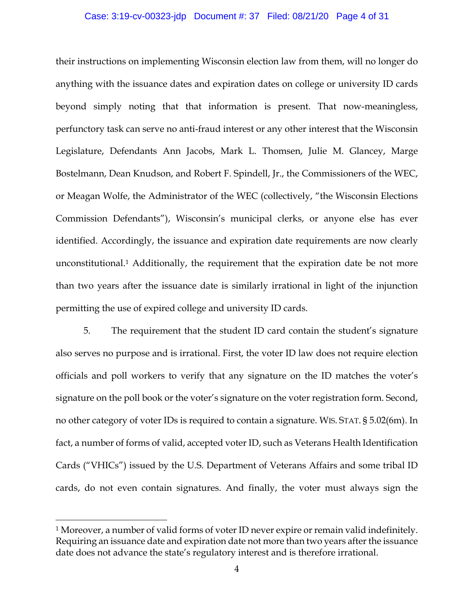#### Case: 3:19-cv-00323-jdp Document #: 37 Filed: 08/21/20 Page 4 of 31

their instructions on implementing Wisconsin election law from them, will no longer do anything with the issuance dates and expiration dates on college or university ID cards beyond simply noting that that information is present. That now-meaningless, perfunctory task can serve no anti-fraud interest or any other interest that the Wisconsin Legislature, Defendants Ann Jacobs, Mark L. Thomsen, Julie M. Glancey, Marge Bostelmann, Dean Knudson, and Robert F. Spindell, Jr., the Commissioners of the WEC, or Meagan Wolfe, the Administrator of the WEC (collectively, "the Wisconsin Elections Commission Defendants"), Wisconsin's municipal clerks, or anyone else has ever identified. Accordingly, the issuance and expiration date requirements are now clearly unconstitutional.1 Additionally, the requirement that the expiration date be not more than two years after the issuance date is similarly irrational in light of the injunction permitting the use of expired college and university ID cards.

5. The requirement that the student ID card contain the student's signature also serves no purpose and is irrational. First, the voter ID law does not require election officials and poll workers to verify that any signature on the ID matches the voter's signature on the poll book or the voter's signature on the voter registration form. Second, no other category of voter IDs is required to contain a signature. WIS. STAT. § 5.02(6m). In fact, a number of forms of valid, accepted voter ID, such as Veterans Health Identification Cards ("VHICs") issued by the U.S. Department of Veterans Affairs and some tribal ID cards, do not even contain signatures. And finally, the voter must always sign the

<sup>&</sup>lt;sup>1</sup> Moreover, a number of valid forms of voter ID never expire or remain valid indefinitely. Requiring an issuance date and expiration date not more than two years after the issuance date does not advance the state's regulatory interest and is therefore irrational.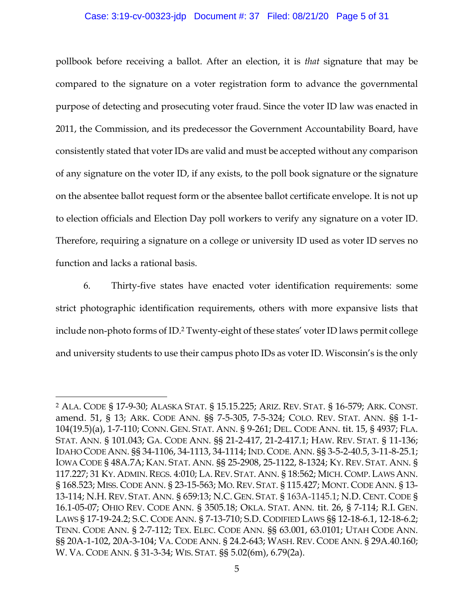#### Case: 3:19-cv-00323-jdp Document #: 37 Filed: 08/21/20 Page 5 of 31

pollbook before receiving a ballot. After an election, it is *that* signature that may be compared to the signature on a voter registration form to advance the governmental purpose of detecting and prosecuting voter fraud. Since the voter ID law was enacted in 2011, the Commission, and its predecessor the Government Accountability Board, have consistently stated that voter IDs are valid and must be accepted without any comparison of any signature on the voter ID, if any exists, to the poll book signature or the signature on the absentee ballot request form or the absentee ballot certificate envelope. It is not up to election officials and Election Day poll workers to verify any signature on a voter ID. Therefore, requiring a signature on a college or university ID used as voter ID serves no function and lacks a rational basis.

6. Thirty-five states have enacted voter identification requirements: some strict photographic identification requirements, others with more expansive lists that include non-photo forms of ID.2 Twenty-eight of these states' voter ID laws permit college and university students to use their campus photo IDs as voter ID. Wisconsin's is the only

<sup>2</sup> ALA. CODE § 17-9-30; ALASKA STAT. § 15.15.225; ARIZ. REV. STAT. § 16-579; ARK. CONST. amend. 51, § 13; ARK. CODE ANN. §§ 7-5-305, 7-5-324; COLO. REV. STAT. ANN. §§ 1-1- 104(19.5)(a), 1-7-110; CONN. GEN. STAT. ANN. § 9-261; DEL. CODE ANN. tit. 15, § 4937; FLA. STAT. ANN. § 101.043; GA. CODE ANN. §§ 21-2-417, 21-2-417.1; HAW. REV. STAT. § 11-136; IDAHO CODE ANN. §§ 34-1106, 34-1113, 34-1114; IND. CODE. ANN. §§ 3-5-2-40.5, 3-11-8-25.1; IOWA CODE § 48A.7A; KAN. STAT. ANN. §§ 25-2908, 25-1122, 8-1324; KY. REV. STAT. ANN. § 117.227; 31 KY. ADMIN. REGS. 4:010; LA. REV. STAT. ANN. § 18:562; MICH. COMP. LAWS ANN. § 168.523; MISS. CODE ANN. § 23-15-563; MO. REV. STAT. § 115.427; MONT. CODE ANN. § 13- 13-114; N.H. REV. STAT. ANN. § 659:13; N.C. GEN. STAT. § 163A-1145.1; N.D. CENT. CODE § 16.1-05-07; OHIO REV. CODE ANN. § 3505.18; OKLA. STAT. ANN. tit. 26, § 7-114; R.I. GEN. LAWS § 17-19-24.2; S.C. CODE ANN. § 7-13-710; S.D. CODIFIED LAWS §§ 12-18-6.1, 12-18-6.2; TENN. CODE ANN. § 2-7-112; TEX. ELEC. CODE ANN. §§ 63.001, 63.0101; UTAH CODE ANN. §§ 20A-1-102, 20A-3-104; VA. CODE ANN. § 24.2-643; WASH. REV. CODE ANN. § 29A.40.160; W. VA. CODE ANN. § 31-3-34; WIS. STAT. §§ 5.02(6m), 6.79(2a).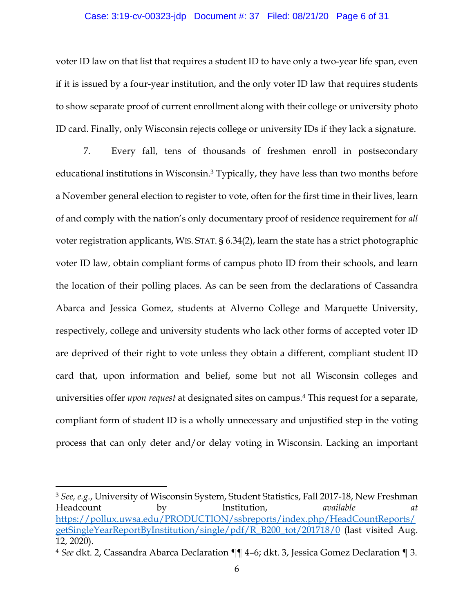#### Case: 3:19-cv-00323-jdp Document #: 37 Filed: 08/21/20 Page 6 of 31

voter ID law on that list that requires a student ID to have only a two-year life span, even if it is issued by a four-year institution, and the only voter ID law that requires students to show separate proof of current enrollment along with their college or university photo ID card. Finally, only Wisconsin rejects college or university IDs if they lack a signature.

7. Every fall, tens of thousands of freshmen enroll in postsecondary educational institutions in Wisconsin. <sup>3</sup> Typically, they have less than two months before a November general election to register to vote, often for the first time in their lives, learn of and comply with the nation's only documentary proof of residence requirement for *all*  voter registration applicants, WIS. STAT. § 6.34(2), learn the state has a strict photographic voter ID law, obtain compliant forms of campus photo ID from their schools, and learn the location of their polling places. As can be seen from the declarations of Cassandra Abarca and Jessica Gomez, students at Alverno College and Marquette University, respectively, college and university students who lack other forms of accepted voter ID are deprived of their right to vote unless they obtain a different, compliant student ID card that, upon information and belief, some but not all Wisconsin colleges and universities offer *upon request* at designated sites on campus. <sup>4</sup> This request for a separate, compliant form of student ID is a wholly unnecessary and unjustified step in the voting process that can only deter and/or delay voting in Wisconsin. Lacking an important

<sup>3</sup> *See, e.g.*, University of Wisconsin System, Student Statistics, Fall 2017-18, New Freshman Headcount by Institution, *available at*  https://pollux.uwsa.edu/PRODUCTION/ssbreports/index.php/HeadCountReports/ getSingleYearReportByInstitution/single/pdf/R\_B200\_tot/201718/0 (last visited Aug. 12, 2020).

<sup>4</sup> *See* dkt. 2, Cassandra Abarca Declaration ¶¶ 4–6; dkt. 3, Jessica Gomez Declaration ¶ 3.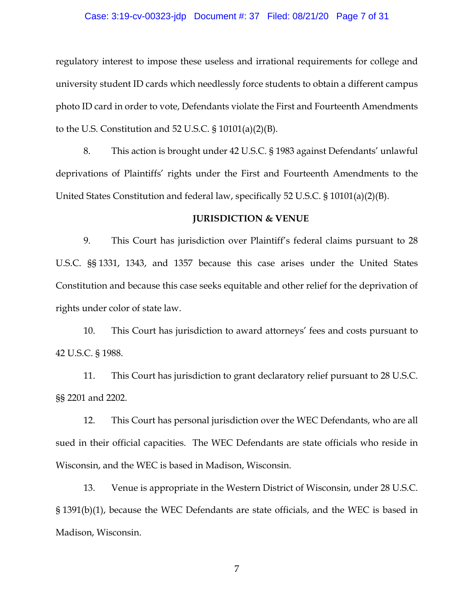#### Case: 3:19-cv-00323-jdp Document #: 37 Filed: 08/21/20 Page 7 of 31

regulatory interest to impose these useless and irrational requirements for college and university student ID cards which needlessly force students to obtain a different campus photo ID card in order to vote, Defendants violate the First and Fourteenth Amendments to the U.S. Constitution and 52 U.S.C.  $\S 10101(a)(2)(B)$ .

8. This action is brought under 42 U.S.C. § 1983 against Defendants' unlawful deprivations of Plaintiffs' rights under the First and Fourteenth Amendments to the United States Constitution and federal law, specifically 52 U.S.C. § 10101(a)(2)(B).

#### **JURISDICTION & VENUE**

9. This Court has jurisdiction over Plaintiff's federal claims pursuant to 28 U.S.C. §§ 1331, 1343, and 1357 because this case arises under the United States Constitution and because this case seeks equitable and other relief for the deprivation of rights under color of state law.

10. This Court has jurisdiction to award attorneys' fees and costs pursuant to 42 U.S.C. § 1988.

11. This Court has jurisdiction to grant declaratory relief pursuant to 28 U.S.C. §§ 2201 and 2202.

12. This Court has personal jurisdiction over the WEC Defendants, who are all sued in their official capacities. The WEC Defendants are state officials who reside in Wisconsin, and the WEC is based in Madison, Wisconsin.

13. Venue is appropriate in the Western District of Wisconsin, under 28 U.S.C. § 1391(b)(1), because the WEC Defendants are state officials, and the WEC is based in Madison, Wisconsin.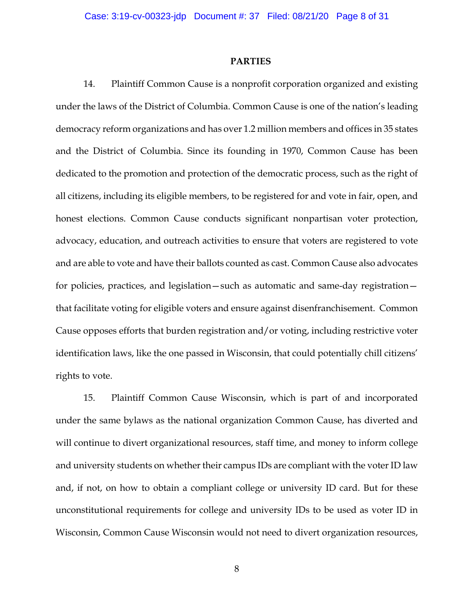#### **PARTIES**

14. Plaintiff Common Cause is a nonprofit corporation organized and existing under the laws of the District of Columbia. Common Cause is one of the nation's leading democracy reform organizations and has over 1.2 million members and offices in 35 states and the District of Columbia. Since its founding in 1970, Common Cause has been dedicated to the promotion and protection of the democratic process, such as the right of all citizens, including its eligible members, to be registered for and vote in fair, open, and honest elections. Common Cause conducts significant nonpartisan voter protection, advocacy, education, and outreach activities to ensure that voters are registered to vote and are able to vote and have their ballots counted as cast. Common Cause also advocates for policies, practices, and legislation—such as automatic and same-day registration that facilitate voting for eligible voters and ensure against disenfranchisement. Common Cause opposes efforts that burden registration and/or voting, including restrictive voter identification laws, like the one passed in Wisconsin, that could potentially chill citizens' rights to vote.

15. Plaintiff Common Cause Wisconsin, which is part of and incorporated under the same bylaws as the national organization Common Cause, has diverted and will continue to divert organizational resources, staff time, and money to inform college and university students on whether their campus IDs are compliant with the voter ID law and, if not, on how to obtain a compliant college or university ID card. But for these unconstitutional requirements for college and university IDs to be used as voter ID in Wisconsin, Common Cause Wisconsin would not need to divert organization resources,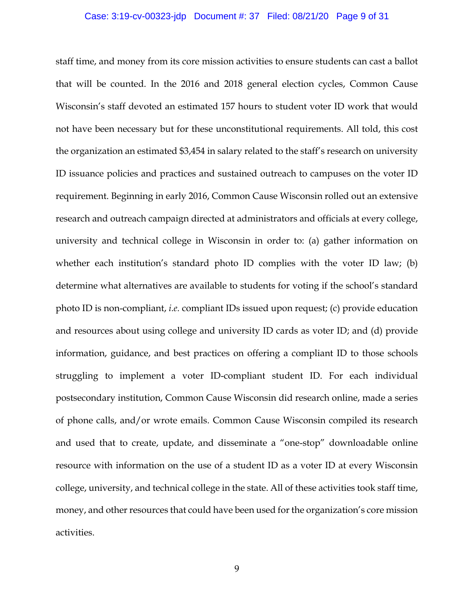#### Case: 3:19-cv-00323-jdp Document #: 37 Filed: 08/21/20 Page 9 of 31

staff time, and money from its core mission activities to ensure students can cast a ballot that will be counted. In the 2016 and 2018 general election cycles, Common Cause Wisconsin's staff devoted an estimated 157 hours to student voter ID work that would not have been necessary but for these unconstitutional requirements. All told, this cost the organization an estimated \$3,454 in salary related to the staff's research on university ID issuance policies and practices and sustained outreach to campuses on the voter ID requirement. Beginning in early 2016, Common Cause Wisconsin rolled out an extensive research and outreach campaign directed at administrators and officials at every college, university and technical college in Wisconsin in order to: (a) gather information on whether each institution's standard photo ID complies with the voter ID law; (b) determine what alternatives are available to students for voting if the school's standard photo ID is non-compliant, *i.e.* compliant IDs issued upon request; (c) provide education and resources about using college and university ID cards as voter ID; and (d) provide information, guidance, and best practices on offering a compliant ID to those schools struggling to implement a voter ID-compliant student ID. For each individual postsecondary institution, Common Cause Wisconsin did research online, made a series of phone calls, and/or wrote emails. Common Cause Wisconsin compiled its research and used that to create, update, and disseminate a "one-stop" downloadable online resource with information on the use of a student ID as a voter ID at every Wisconsin college, university, and technical college in the state. All of these activities took staff time, money, and other resources that could have been used for the organization's core mission activities.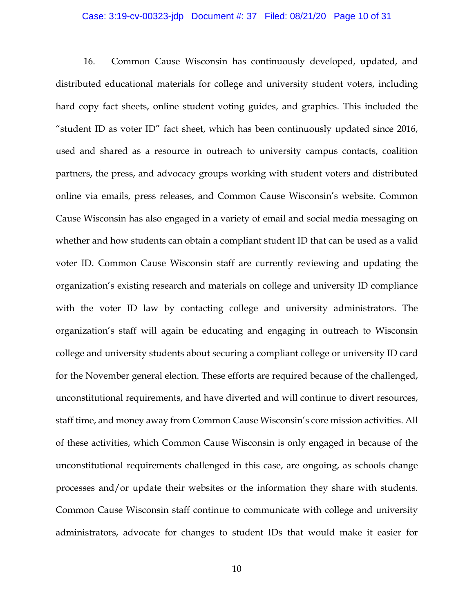#### Case: 3:19-cv-00323-jdp Document #: 37 Filed: 08/21/20 Page 10 of 31

16. Common Cause Wisconsin has continuously developed, updated, and distributed educational materials for college and university student voters, including hard copy fact sheets, online student voting guides, and graphics. This included the "student ID as voter ID" fact sheet, which has been continuously updated since 2016, used and shared as a resource in outreach to university campus contacts, coalition partners, the press, and advocacy groups working with student voters and distributed online via emails, press releases, and Common Cause Wisconsin's website. Common Cause Wisconsin has also engaged in a variety of email and social media messaging on whether and how students can obtain a compliant student ID that can be used as a valid voter ID. Common Cause Wisconsin staff are currently reviewing and updating the organization's existing research and materials on college and university ID compliance with the voter ID law by contacting college and university administrators. The organization's staff will again be educating and engaging in outreach to Wisconsin college and university students about securing a compliant college or university ID card for the November general election. These efforts are required because of the challenged, unconstitutional requirements, and have diverted and will continue to divert resources, staff time, and money away from Common Cause Wisconsin's core mission activities. All of these activities, which Common Cause Wisconsin is only engaged in because of the unconstitutional requirements challenged in this case, are ongoing, as schools change processes and/or update their websites or the information they share with students. Common Cause Wisconsin staff continue to communicate with college and university administrators, advocate for changes to student IDs that would make it easier for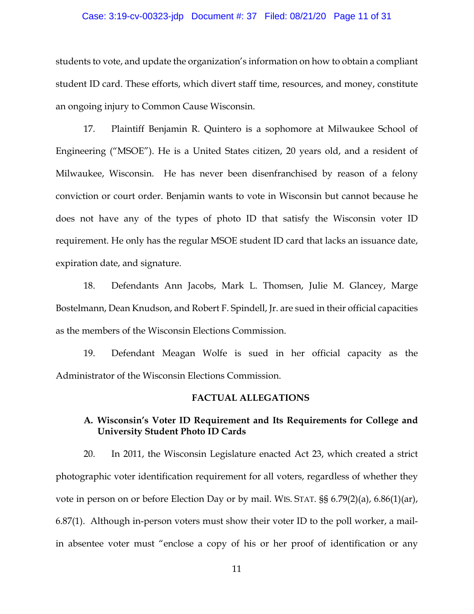#### Case: 3:19-cv-00323-jdp Document #: 37 Filed: 08/21/20 Page 11 of 31

students to vote, and update the organization's information on how to obtain a compliant student ID card. These efforts, which divert staff time, resources, and money, constitute an ongoing injury to Common Cause Wisconsin.

17. Plaintiff Benjamin R. Quintero is a sophomore at Milwaukee School of Engineering ("MSOE"). He is a United States citizen, 20 years old, and a resident of Milwaukee, Wisconsin. He has never been disenfranchised by reason of a felony conviction or court order. Benjamin wants to vote in Wisconsin but cannot because he does not have any of the types of photo ID that satisfy the Wisconsin voter ID requirement. He only has the regular MSOE student ID card that lacks an issuance date, expiration date, and signature.

18. Defendants Ann Jacobs, Mark L. Thomsen, Julie M. Glancey, Marge Bostelmann, Dean Knudson, and Robert F. Spindell, Jr. are sued in their official capacities as the members of the Wisconsin Elections Commission.

19. Defendant Meagan Wolfe is sued in her official capacity as the Administrator of the Wisconsin Elections Commission.

#### **FACTUAL ALLEGATIONS**

### **A. Wisconsin's Voter ID Requirement and Its Requirements for College and University Student Photo ID Cards**

20. In 2011, the Wisconsin Legislature enacted Act 23, which created a strict photographic voter identification requirement for all voters, regardless of whether they vote in person on or before Election Day or by mail. WIS. STAT. §§ 6.79(2)(a), 6.86(1)(ar), 6.87(1). Although in-person voters must show their voter ID to the poll worker, a mailin absentee voter must "enclose a copy of his or her proof of identification or any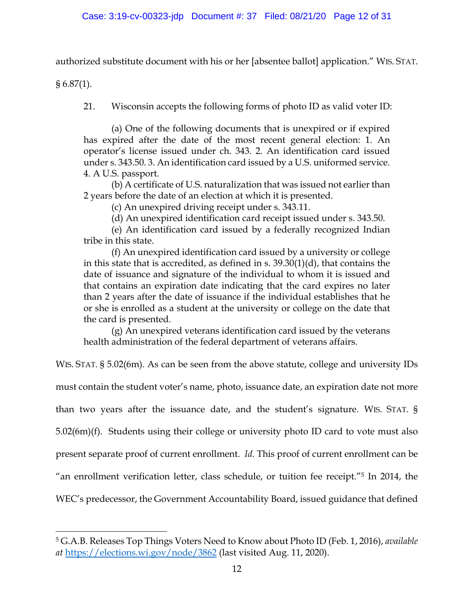authorized substitute document with his or her [absentee ballot] application." WIS. STAT.

 $§ 6.87(1).$ 

21. Wisconsin accepts the following forms of photo ID as valid voter ID:

(a) One of the following documents that is unexpired or if expired has expired after the date of the most recent general election: 1. An operator's license issued under ch. 343. 2. An identification card issued under s. 343.50. 3. An identification card issued by a U.S. uniformed service. 4. A U.S. passport.

(b) A certificate of U.S. naturalization that was issued not earlier than 2 years before the date of an election at which it is presented.

(c) An unexpired driving receipt under s. 343.11.

(d) An unexpired identification card receipt issued under s. 343.50.

(e) An identification card issued by a federally recognized Indian tribe in this state.

(f) An unexpired identification card issued by a university or college in this state that is accredited, as defined in s. 39.30(1)(d), that contains the date of issuance and signature of the individual to whom it is issued and that contains an expiration date indicating that the card expires no later than 2 years after the date of issuance if the individual establishes that he or she is enrolled as a student at the university or college on the date that the card is presented.

(g) An unexpired veterans identification card issued by the veterans health administration of the federal department of veterans affairs.

WIS. STAT. § 5.02(6m). As can be seen from the above statute, college and university IDs must contain the student voter's name, photo, issuance date, an expiration date not more than two years after the issuance date, and the student's signature. WIS. STAT. § 5.02(6m)(f). Students using their college or university photo ID card to vote must also present separate proof of current enrollment. *Id*. This proof of current enrollment can be "an enrollment verification letter, class schedule, or tuition fee receipt."5 In 2014, the WEC's predecessor, the Government Accountability Board, issued guidance that defined

<sup>5</sup> G.A.B. Releases Top Things Voters Need to Know about Photo ID (Feb. 1, 2016), *available at* https://elections.wi.gov/node/3862 (last visited Aug. 11, 2020).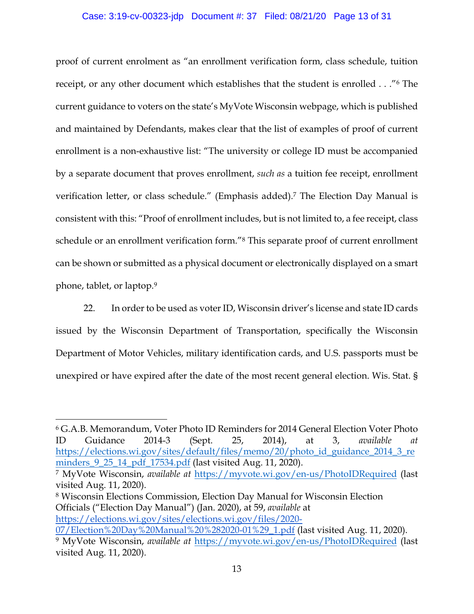### Case: 3:19-cv-00323-jdp Document #: 37 Filed: 08/21/20 Page 13 of 31

proof of current enrolment as "an enrollment verification form, class schedule, tuition receipt, or any other document which establishes that the student is enrolled . . ."6 The current guidance to voters on the state's MyVote Wisconsin webpage, which is published and maintained by Defendants, makes clear that the list of examples of proof of current enrollment is a non-exhaustive list: "The university or college ID must be accompanied by a separate document that proves enrollment, *such as* a tuition fee receipt, enrollment verification letter, or class schedule." (Emphasis added).7 The Election Day Manual is consistent with this: "Proof of enrollment includes, but is not limited to, a fee receipt, class schedule or an enrollment verification form."8 This separate proof of current enrollment can be shown or submitted as a physical document or electronically displayed on a smart phone, tablet, or laptop. 9

22. In order to be used as voter ID, Wisconsin driver's license and state ID cards issued by the Wisconsin Department of Transportation, specifically the Wisconsin Department of Motor Vehicles, military identification cards, and U.S. passports must be unexpired or have expired after the date of the most recent general election. Wis. Stat. §

<sup>8</sup> Wisconsin Elections Commission, Election Day Manual for Wisconsin Election Officials ("Election Day Manual") (Jan. 2020), at 59, *available* at

https://elections.wi.gov/sites/elections.wi.gov/files/2020- 07/Election%20Day%20Manual%20%282020-01%29\_1.pdf (last visited Aug. 11, 2020).

<sup>6</sup> G.A.B. Memorandum, Voter Photo ID Reminders for 2014 General Election Voter Photo ID Guidance 2014-3 (Sept. 25, 2014), at 3, *available at* https://elections.wi.gov/sites/default/files/memo/20/photo\_id\_guidance\_2014\_3\_re minders\_9\_25\_14\_pdf\_17534.pdf (last visited Aug. 11, 2020).

<sup>7</sup> MyVote Wisconsin, *available at* https://myvote.wi.gov/en-us/PhotoIDRequired (last visited Aug. 11, 2020).

<sup>9</sup> MyVote Wisconsin, *available at* https://myvote.wi.gov/en-us/PhotoIDRequired (last visited Aug. 11, 2020).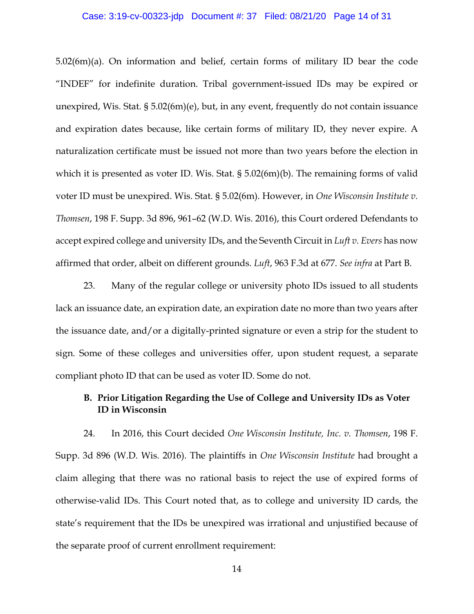#### Case: 3:19-cv-00323-jdp Document #: 37 Filed: 08/21/20 Page 14 of 31

5.02(6m)(a). On information and belief, certain forms of military ID bear the code "INDEF" for indefinite duration. Tribal government-issued IDs may be expired or unexpired, Wis. Stat. § 5.02(6m)(e), but, in any event, frequently do not contain issuance and expiration dates because, like certain forms of military ID, they never expire. A naturalization certificate must be issued not more than two years before the election in which it is presented as voter ID. Wis. Stat. § 5.02(6m)(b). The remaining forms of valid voter ID must be unexpired. Wis. Stat. § 5.02(6m). However, in *One Wisconsin Institute v. Thomsen*, 198 F. Supp. 3d 896, 961–62 (W.D. Wis. 2016), this Court ordered Defendants to accept expired college and university IDs, and the Seventh Circuit in *Luft v. Evers* has now affirmed that order, albeit on different grounds. *Luft*, 963 F.3d at 677. *See infra* at Part B.

23. Many of the regular college or university photo IDs issued to all students lack an issuance date, an expiration date, an expiration date no more than two years after the issuance date, and/or a digitally-printed signature or even a strip for the student to sign. Some of these colleges and universities offer, upon student request, a separate compliant photo ID that can be used as voter ID. Some do not.

## **B. Prior Litigation Regarding the Use of College and University IDs as Voter ID in Wisconsin**

24. In 2016, this Court decided *One Wisconsin Institute, Inc. v. Thomsen*, 198 F. Supp. 3d 896 (W.D. Wis. 2016). The plaintiffs in *One Wisconsin Institute* had brought a claim alleging that there was no rational basis to reject the use of expired forms of otherwise-valid IDs. This Court noted that, as to college and university ID cards, the state's requirement that the IDs be unexpired was irrational and unjustified because of the separate proof of current enrollment requirement: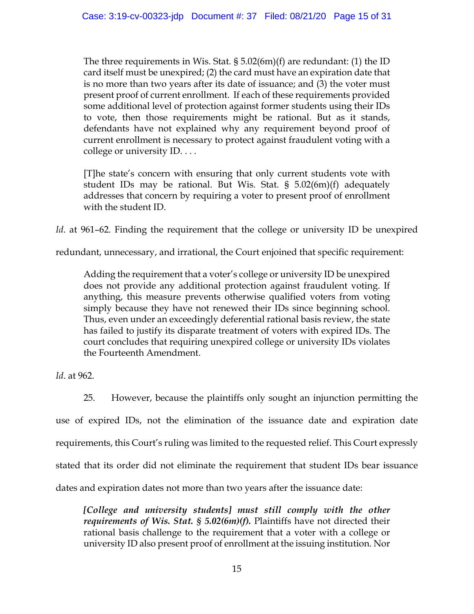The three requirements in Wis. Stat.  $\S 5.02(6m)(f)$  are redundant: (1) the ID card itself must be unexpired; (2) the card must have an expiration date that is no more than two years after its date of issuance; and (3) the voter must present proof of current enrollment. If each of these requirements provided some additional level of protection against former students using their IDs to vote, then those requirements might be rational. But as it stands, defendants have not explained why any requirement beyond proof of current enrollment is necessary to protect against fraudulent voting with a college or university ID. . . .

[T]he state's concern with ensuring that only current students vote with student IDs may be rational. But Wis. Stat. § 5.02(6m)(f) adequately addresses that concern by requiring a voter to present proof of enrollment with the student ID.

*Id.* at 961-62. Finding the requirement that the college or university ID be unexpired

redundant, unnecessary, and irrational, the Court enjoined that specific requirement:

Adding the requirement that a voter's college or university ID be unexpired does not provide any additional protection against fraudulent voting. If anything, this measure prevents otherwise qualified voters from voting simply because they have not renewed their IDs since beginning school. Thus, even under an exceedingly deferential rational basis review, the state has failed to justify its disparate treatment of voters with expired IDs. The court concludes that requiring unexpired college or university IDs violates the Fourteenth Amendment.

*Id*. at 962.

25. However, because the plaintiffs only sought an injunction permitting the use of expired IDs, not the elimination of the issuance date and expiration date requirements, this Court's ruling was limited to the requested relief. This Court expressly stated that its order did not eliminate the requirement that student IDs bear issuance dates and expiration dates not more than two years after the issuance date:

*[College and university students] must still comply with the other requirements of Wis. Stat. § 5.02(6m)(f).* Plaintiffs have not directed their rational basis challenge to the requirement that a voter with a college or university ID also present proof of enrollment at the issuing institution. Nor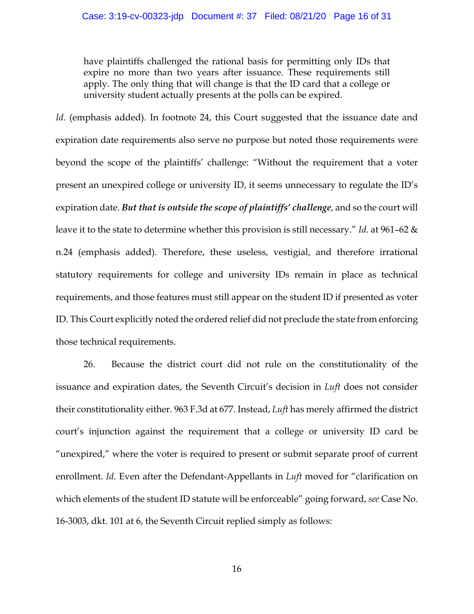have plaintiffs challenged the rational basis for permitting only IDs that expire no more than two years after issuance. These requirements still apply. The only thing that will change is that the ID card that a college or university student actually presents at the polls can be expired.

*Id.* (emphasis added). In footnote 24, this Court suggested that the issuance date and expiration date requirements also serve no purpose but noted those requirements were beyond the scope of the plaintiffs' challenge: "Without the requirement that a voter present an unexpired college or university ID, it seems unnecessary to regulate the ID's expiration date. *But that is outside the scope of plaintiffs' challenge*, and so the court will leave it to the state to determine whether this provision is still necessary." *Id*. at 961–62 & n.24 (emphasis added). Therefore, these useless, vestigial, and therefore irrational statutory requirements for college and university IDs remain in place as technical requirements, and those features must still appear on the student ID if presented as voter ID. This Court explicitly noted the ordered relief did not preclude the state from enforcing those technical requirements.

26. Because the district court did not rule on the constitutionality of the issuance and expiration dates, the Seventh Circuit's decision in *Luft* does not consider their constitutionality either. 963 F.3d at 677. Instead, *Luft* has merely affirmed the district court's injunction against the requirement that a college or university ID card be "unexpired," where the voter is required to present or submit separate proof of current enrollment. *Id*. Even after the Defendant-Appellants in *Luft* moved for "clarification on which elements of the student ID statute will be enforceable" going forward, *see* Case No. 16-3003, dkt. 101 at 6, the Seventh Circuit replied simply as follows: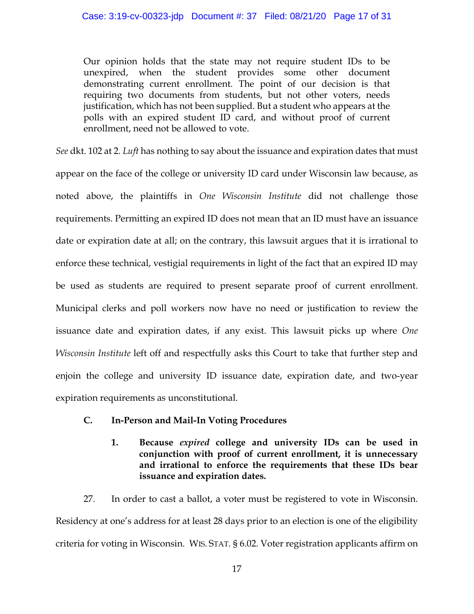Our opinion holds that the state may not require student IDs to be unexpired, when the student provides some other document demonstrating current enrollment. The point of our decision is that requiring two documents from students, but not other voters, needs justification, which has not been supplied. But a student who appears at the polls with an expired student ID card, and without proof of current enrollment, need not be allowed to vote.

*See* dkt. 102 at 2. *Luft* has nothing to say about the issuance and expiration dates that must appear on the face of the college or university ID card under Wisconsin law because, as noted above, the plaintiffs in *One Wisconsin Institute* did not challenge those requirements. Permitting an expired ID does not mean that an ID must have an issuance date or expiration date at all; on the contrary, this lawsuit argues that it is irrational to enforce these technical, vestigial requirements in light of the fact that an expired ID may be used as students are required to present separate proof of current enrollment. Municipal clerks and poll workers now have no need or justification to review the issuance date and expiration dates, if any exist. This lawsuit picks up where *One Wisconsin Institute* left off and respectfully asks this Court to take that further step and enjoin the college and university ID issuance date, expiration date, and two-year expiration requirements as unconstitutional.

- **C. In-Person and Mail-In Voting Procedures**
	- **1. Because** *expired* **college and university IDs can be used in conjunction with proof of current enrollment, it is unnecessary and irrational to enforce the requirements that these IDs bear issuance and expiration dates.**

27. In order to cast a ballot, a voter must be registered to vote in Wisconsin. Residency at one's address for at least 28 days prior to an election is one of the eligibility criteria for voting in Wisconsin. WIS. STAT. § 6.02. Voter registration applicants affirm on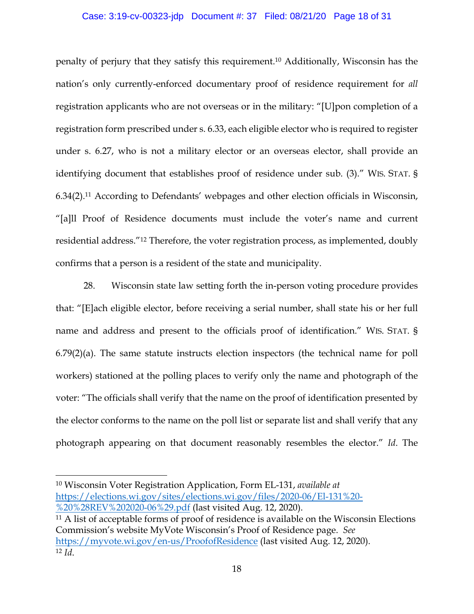#### Case: 3:19-cv-00323-jdp Document #: 37 Filed: 08/21/20 Page 18 of 31

penalty of perjury that they satisfy this requirement. <sup>10</sup> Additionally, Wisconsin has the nation's only currently-enforced documentary proof of residence requirement for *all*  registration applicants who are not overseas or in the military: "[U]pon completion of a registration form prescribed under s. 6.33, each eligible elector who is required to register under s. 6.27, who is not a military elector or an overseas elector, shall provide an identifying document that establishes proof of residence under sub. (3)." WIS. STAT. § 6.34(2). <sup>11</sup> According to Defendants' webpages and other election officials in Wisconsin, "[a]ll Proof of Residence documents must include the voter's name and current residential address."12 Therefore, the voter registration process, as implemented, doubly confirms that a person is a resident of the state and municipality.

28. Wisconsin state law setting forth the in-person voting procedure provides that: "[E]ach eligible elector, before receiving a serial number, shall state his or her full name and address and present to the officials proof of identification." WIS. STAT. § 6.79(2)(a). The same statute instructs election inspectors (the technical name for poll workers) stationed at the polling places to verify only the name and photograph of the voter: "The officials shall verify that the name on the proof of identification presented by the elector conforms to the name on the poll list or separate list and shall verify that any photograph appearing on that document reasonably resembles the elector." *Id*. The

<sup>10</sup> Wisconsin Voter Registration Application, Form EL-131, *available at*  https://elections.wi.gov/sites/elections.wi.gov/files/2020-06/El-131%20- %20%28REV%202020-06%29.pdf (last visited Aug. 12, 2020).

<sup>11</sup> A list of acceptable forms of proof of residence is available on the Wisconsin Elections Commission's website MyVote Wisconsin's Proof of Residence page. *See* https://myvote.wi.gov/en-us/ProofofResidence (last visited Aug. 12, 2020). <sup>12</sup> *Id*.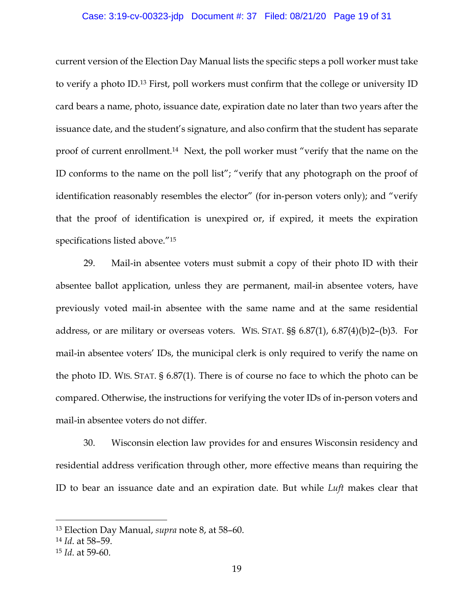#### Case: 3:19-cv-00323-jdp Document #: 37 Filed: 08/21/20 Page 19 of 31

current version of the Election Day Manual lists the specific steps a poll worker must take to verify a photo ID.13 First, poll workers must confirm that the college or university ID card bears a name, photo, issuance date, expiration date no later than two years after the issuance date, and the student's signature, and also confirm that the student has separate proof of current enrollment.14 Next, the poll worker must "verify that the name on the ID conforms to the name on the poll list"; "verify that any photograph on the proof of identification reasonably resembles the elector" (for in-person voters only); and "verify that the proof of identification is unexpired or, if expired, it meets the expiration specifications listed above."15

29. Mail-in absentee voters must submit a copy of their photo ID with their absentee ballot application, unless they are permanent, mail-in absentee voters, have previously voted mail-in absentee with the same name and at the same residential address, or are military or overseas voters. WIS. STAT. §§ 6.87(1), 6.87(4)(b)2–(b)3. For mail-in absentee voters' IDs, the municipal clerk is only required to verify the name on the photo ID. WIS. STAT. § 6.87(1). There is of course no face to which the photo can be compared. Otherwise, the instructions for verifying the voter IDs of in-person voters and mail-in absentee voters do not differ.

30. Wisconsin election law provides for and ensures Wisconsin residency and residential address verification through other, more effective means than requiring the ID to bear an issuance date and an expiration date. But while *Luft* makes clear that

<sup>13</sup> Election Day Manual, *supra* note 8, at 58–60.

<sup>14</sup> *Id*. at 58–59. 15 *Id*. at 59-60.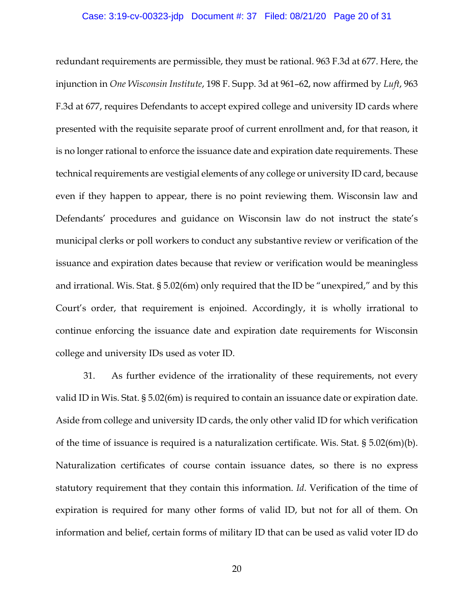#### Case: 3:19-cv-00323-jdp Document #: 37 Filed: 08/21/20 Page 20 of 31

redundant requirements are permissible, they must be rational. 963 F.3d at 677. Here, the injunction in *One Wisconsin Institute*, 198 F. Supp. 3d at 961–62, now affirmed by *Luft*, 963 F.3d at 677, requires Defendants to accept expired college and university ID cards where presented with the requisite separate proof of current enrollment and, for that reason, it is no longer rational to enforce the issuance date and expiration date requirements. These technical requirements are vestigial elements of any college or university ID card, because even if they happen to appear, there is no point reviewing them. Wisconsin law and Defendants' procedures and guidance on Wisconsin law do not instruct the state's municipal clerks or poll workers to conduct any substantive review or verification of the issuance and expiration dates because that review or verification would be meaningless and irrational. Wis. Stat. § 5.02(6m) only required that the ID be "unexpired," and by this Court's order, that requirement is enjoined. Accordingly, it is wholly irrational to continue enforcing the issuance date and expiration date requirements for Wisconsin college and university IDs used as voter ID.

31. As further evidence of the irrationality of these requirements, not every valid ID in Wis. Stat. § 5.02(6m) is required to contain an issuance date or expiration date. Aside from college and university ID cards, the only other valid ID for which verification of the time of issuance is required is a naturalization certificate. Wis. Stat. § 5.02(6m)(b). Naturalization certificates of course contain issuance dates, so there is no express statutory requirement that they contain this information. *Id*. Verification of the time of expiration is required for many other forms of valid ID, but not for all of them. On information and belief, certain forms of military ID that can be used as valid voter ID do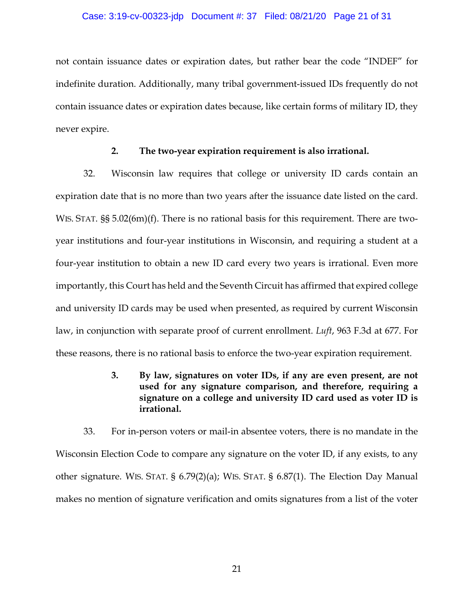#### Case: 3:19-cv-00323-jdp Document #: 37 Filed: 08/21/20 Page 21 of 31

not contain issuance dates or expiration dates, but rather bear the code "INDEF" for indefinite duration. Additionally, many tribal government-issued IDs frequently do not contain issuance dates or expiration dates because, like certain forms of military ID, they never expire.

#### **2. The two-year expiration requirement is also irrational.**

32. Wisconsin law requires that college or university ID cards contain an expiration date that is no more than two years after the issuance date listed on the card. WIS. STAT.  $\S$ § 5.02(6m)(f). There is no rational basis for this requirement. There are twoyear institutions and four-year institutions in Wisconsin, and requiring a student at a four-year institution to obtain a new ID card every two years is irrational. Even more importantly, this Court has held and the Seventh Circuit has affirmed that expired college and university ID cards may be used when presented, as required by current Wisconsin law, in conjunction with separate proof of current enrollment. *Luft*, 963 F.3d at 677. For these reasons, there is no rational basis to enforce the two-year expiration requirement.

## **3. By law, signatures on voter IDs, if any are even present, are not used for any signature comparison, and therefore, requiring a signature on a college and university ID card used as voter ID is irrational.**

33. For in-person voters or mail-in absentee voters, there is no mandate in the Wisconsin Election Code to compare any signature on the voter ID, if any exists, to any other signature. WIS. STAT. § 6.79(2)(a); WIS. STAT. § 6.87(1). The Election Day Manual makes no mention of signature verification and omits signatures from a list of the voter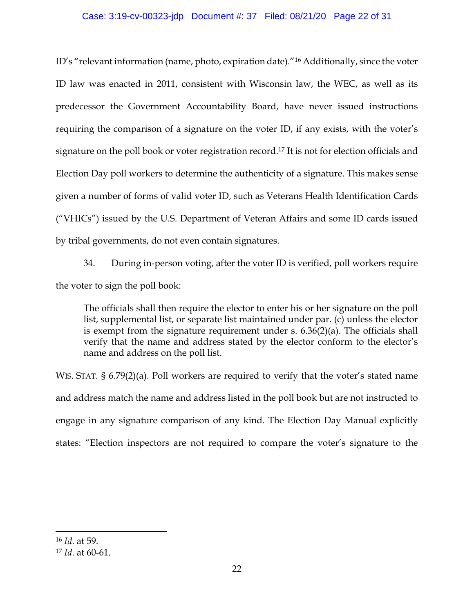#### Case: 3:19-cv-00323-jdp Document #: 37 Filed: 08/21/20 Page 22 of 31

ID's "relevant information (name, photo, expiration date)."16 Additionally, since the voter ID law was enacted in 2011, consistent with Wisconsin law, the WEC, as well as its predecessor the Government Accountability Board, have never issued instructions requiring the comparison of a signature on the voter ID, if any exists, with the voter's signature on the poll book or voter registration record.17 It is not for election officials and Election Day poll workers to determine the authenticity of a signature. This makes sense given a number of forms of valid voter ID, such as Veterans Health Identification Cards ("VHICs") issued by the U.S. Department of Veteran Affairs and some ID cards issued by tribal governments, do not even contain signatures.

34. During in-person voting, after the voter ID is verified, poll workers require the voter to sign the poll book:

The officials shall then require the elector to enter his or her signature on the poll list, supplemental list, or separate list maintained under par. (c) unless the elector is exempt from the signature requirement under s. 6.36(2)(a). The officials shall verify that the name and address stated by the elector conform to the elector's name and address on the poll list.

WIS. STAT. § 6.79(2)(a). Poll workers are required to verify that the voter's stated name and address match the name and address listed in the poll book but are not instructed to engage in any signature comparison of any kind. The Election Day Manual explicitly states: "Election inspectors are not required to compare the voter's signature to the

<sup>16</sup> *Id*. at 59.

<sup>17</sup> *Id*. at 60-61.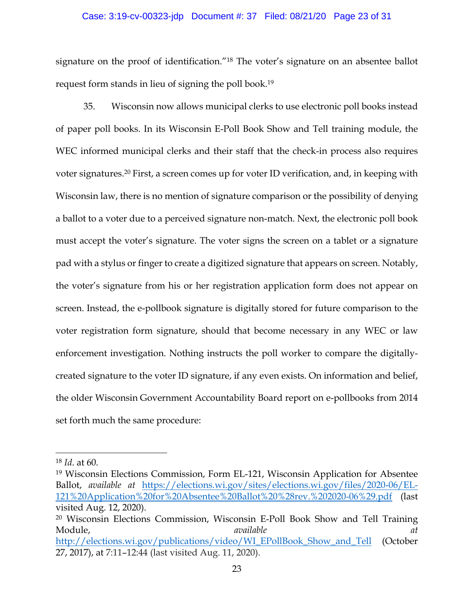#### Case: 3:19-cv-00323-jdp Document #: 37 Filed: 08/21/20 Page 23 of 31

signature on the proof of identification."18 The voter's signature on an absentee ballot request form stands in lieu of signing the poll book.19

35. Wisconsin now allows municipal clerks to use electronic poll books instead of paper poll books. In its Wisconsin E-Poll Book Show and Tell training module, the WEC informed municipal clerks and their staff that the check-in process also requires voter signatures.20 First, a screen comes up for voter ID verification, and, in keeping with Wisconsin law, there is no mention of signature comparison or the possibility of denying a ballot to a voter due to a perceived signature non-match. Next, the electronic poll book must accept the voter's signature. The voter signs the screen on a tablet or a signature pad with a stylus or finger to create a digitized signature that appears on screen. Notably, the voter's signature from his or her registration application form does not appear on screen. Instead, the e-pollbook signature is digitally stored for future comparison to the voter registration form signature, should that become necessary in any WEC or law enforcement investigation. Nothing instructs the poll worker to compare the digitallycreated signature to the voter ID signature, if any even exists. On information and belief, the older Wisconsin Government Accountability Board report on e-pollbooks from 2014 set forth much the same procedure:

<sup>18</sup> *Id*. at 60.

<sup>19</sup> Wisconsin Elections Commission, Form EL-121, Wisconsin Application for Absentee Ballot, *available at* https://elections.wi.gov/sites/elections.wi.gov/files/2020-06/EL-121%20Application%20for%20Absentee%20Ballot%20%28rev.%202020-06%29.pdf (last visited Aug. 12, 2020).

<sup>20</sup> Wisconsin Elections Commission, Wisconsin E-Poll Book Show and Tell Training Module, *available at*  http://elections.wi.gov/publications/video/WI\_EPollBook\_Show\_and\_Tell (October 27, 2017), at 7:11–12:44 (last visited Aug. 11, 2020).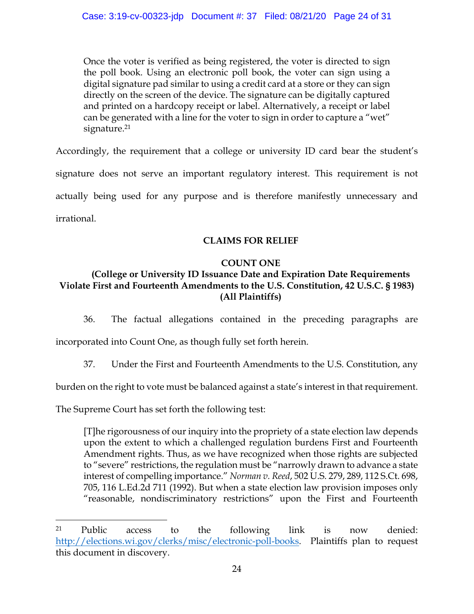Once the voter is verified as being registered, the voter is directed to sign the poll book. Using an electronic poll book, the voter can sign using a digital signature pad similar to using a credit card at a store or they can sign directly on the screen of the device. The signature can be digitally captured and printed on a hardcopy receipt or label. Alternatively, a receipt or label can be generated with a line for the voter to sign in order to capture a "wet" signature.<sup>21</sup>

Accordingly, the requirement that a college or university ID card bear the student's signature does not serve an important regulatory interest. This requirement is not actually being used for any purpose and is therefore manifestly unnecessary and irrational.

# **CLAIMS FOR RELIEF**

## **COUNT ONE**

# **(College or University ID Issuance Date and Expiration Date Requirements Violate First and Fourteenth Amendments to the U.S. Constitution, 42 U.S.C. § 1983) (All Plaintiffs)**

36. The factual allegations contained in the preceding paragraphs are incorporated into Count One, as though fully set forth herein.

37. Under the First and Fourteenth Amendments to the U.S. Constitution, any

burden on the right to vote must be balanced against a state's interest in that requirement.

The Supreme Court has set forth the following test:

[T]he rigorousness of our inquiry into the propriety of a state election law depends upon the extent to which a challenged regulation burdens First and Fourteenth Amendment rights. Thus, as we have recognized when those rights are subjected to "severe" restrictions, the regulation must be "narrowly drawn to advance a state interest of compelling importance." *Norman v. Reed*, 502 U.S. 279, 289, 112 S.Ct. 698, 705, 116 L.Ed.2d 711 (1992). But when a state election law provision imposes only "reasonable, nondiscriminatory restrictions" upon the First and Fourteenth

<sup>21</sup> Public access to the following link is now denied: http://elections.wi.gov/clerks/misc/electronic-poll-books. Plaintiffs plan to request this document in discovery.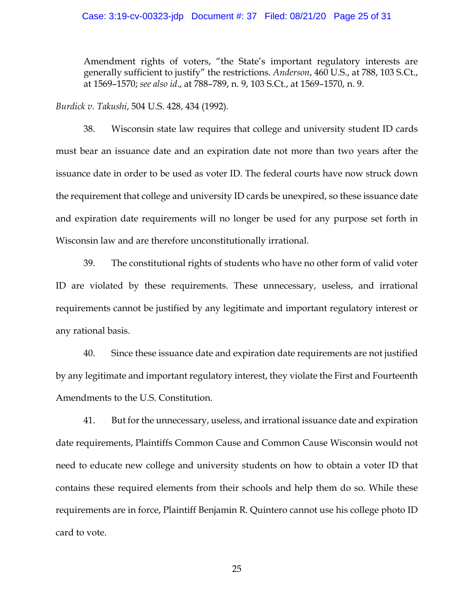#### Case: 3:19-cv-00323-jdp Document #: 37 Filed: 08/21/20 Page 25 of 31

Amendment rights of voters, "the State's important regulatory interests are generally sufficient to justify" the restrictions. *Anderson*, 460 U.S., at 788, 103 S.Ct., at 1569–1570; *see also id*., at 788–789, n. 9, 103 S.Ct., at 1569–1570, n. 9.

*Burdick v. Takushi*, 504 U.S. 428, 434 (1992).

38. Wisconsin state law requires that college and university student ID cards must bear an issuance date and an expiration date not more than two years after the issuance date in order to be used as voter ID. The federal courts have now struck down the requirement that college and university ID cards be unexpired, so these issuance date and expiration date requirements will no longer be used for any purpose set forth in Wisconsin law and are therefore unconstitutionally irrational.

39. The constitutional rights of students who have no other form of valid voter ID are violated by these requirements. These unnecessary, useless, and irrational requirements cannot be justified by any legitimate and important regulatory interest or any rational basis.

40. Since these issuance date and expiration date requirements are not justified by any legitimate and important regulatory interest, they violate the First and Fourteenth Amendments to the U.S. Constitution.

41. But for the unnecessary, useless, and irrational issuance date and expiration date requirements, Plaintiffs Common Cause and Common Cause Wisconsin would not need to educate new college and university students on how to obtain a voter ID that contains these required elements from their schools and help them do so. While these requirements are in force, Plaintiff Benjamin R. Quintero cannot use his college photo ID card to vote.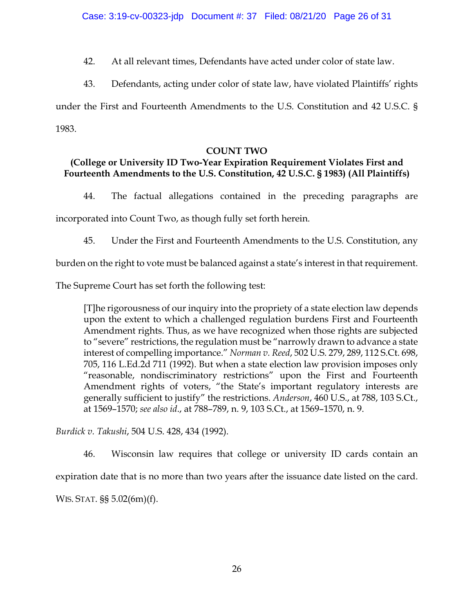42. At all relevant times, Defendants have acted under color of state law.

43. Defendants, acting under color of state law, have violated Plaintiffs' rights under the First and Fourteenth Amendments to the U.S. Constitution and 42 U.S.C. § 1983.

## **COUNT TWO**

# **(College or University ID Two-Year Expiration Requirement Violates First and Fourteenth Amendments to the U.S. Constitution, 42 U.S.C. § 1983) (All Plaintiffs)**

44. The factual allegations contained in the preceding paragraphs are

incorporated into Count Two, as though fully set forth herein.

45. Under the First and Fourteenth Amendments to the U.S. Constitution, any

burden on the right to vote must be balanced against a state's interest in that requirement.

The Supreme Court has set forth the following test:

[T]he rigorousness of our inquiry into the propriety of a state election law depends upon the extent to which a challenged regulation burdens First and Fourteenth Amendment rights. Thus, as we have recognized when those rights are subjected to "severe" restrictions, the regulation must be "narrowly drawn to advance a state interest of compelling importance." *Norman v. Reed*, 502 U.S. 279, 289, 112 S.Ct. 698, 705, 116 L.Ed.2d 711 (1992). But when a state election law provision imposes only "reasonable, nondiscriminatory restrictions" upon the First and Fourteenth Amendment rights of voters, "the State's important regulatory interests are generally sufficient to justify" the restrictions. *Anderson*, 460 U.S., at 788, 103 S.Ct., at 1569–1570; *see also id*., at 788–789, n. 9, 103 S.Ct., at 1569–1570, n. 9.

*Burdick v. Takushi*, 504 U.S. 428, 434 (1992).

46. Wisconsin law requires that college or university ID cards contain an

expiration date that is no more than two years after the issuance date listed on the card.

WIS. STAT. §§ 5.02(6m)(f).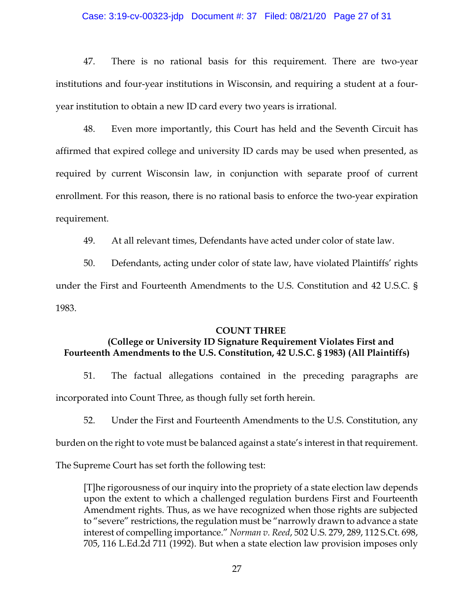#### Case: 3:19-cv-00323-jdp Document #: 37 Filed: 08/21/20 Page 27 of 31

47. There is no rational basis for this requirement. There are two-year institutions and four-year institutions in Wisconsin, and requiring a student at a fouryear institution to obtain a new ID card every two years is irrational.

48. Even more importantly, this Court has held and the Seventh Circuit has affirmed that expired college and university ID cards may be used when presented, as required by current Wisconsin law, in conjunction with separate proof of current enrollment. For this reason, there is no rational basis to enforce the two-year expiration requirement.

49. At all relevant times, Defendants have acted under color of state law.

50. Defendants, acting under color of state law, have violated Plaintiffs' rights under the First and Fourteenth Amendments to the U.S. Constitution and 42 U.S.C. § 1983.

#### **COUNT THREE**

### **(College or University ID Signature Requirement Violates First and Fourteenth Amendments to the U.S. Constitution, 42 U.S.C. § 1983) (All Plaintiffs)**

51. The factual allegations contained in the preceding paragraphs are incorporated into Count Three, as though fully set forth herein.

52. Under the First and Fourteenth Amendments to the U.S. Constitution, any

burden on the right to vote must be balanced against a state's interest in that requirement.

The Supreme Court has set forth the following test:

[T]he rigorousness of our inquiry into the propriety of a state election law depends upon the extent to which a challenged regulation burdens First and Fourteenth Amendment rights. Thus, as we have recognized when those rights are subjected to "severe" restrictions, the regulation must be "narrowly drawn to advance a state interest of compelling importance." *Norman v. Reed*, 502 U.S. 279, 289, 112 S.Ct. 698, 705, 116 L.Ed.2d 711 (1992). But when a state election law provision imposes only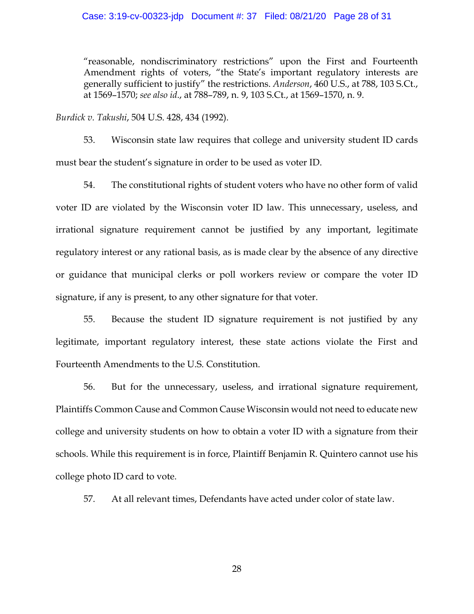"reasonable, nondiscriminatory restrictions" upon the First and Fourteenth Amendment rights of voters, "the State's important regulatory interests are generally sufficient to justify" the restrictions. *Anderson*, 460 U.S., at 788, 103 S.Ct., at 1569–1570; *see also id*., at 788–789, n. 9, 103 S.Ct., at 1569–1570, n. 9.

*Burdick v. Takushi*, 504 U.S. 428, 434 (1992).

53. Wisconsin state law requires that college and university student ID cards must bear the student's signature in order to be used as voter ID.

54. The constitutional rights of student voters who have no other form of valid voter ID are violated by the Wisconsin voter ID law. This unnecessary, useless, and irrational signature requirement cannot be justified by any important, legitimate regulatory interest or any rational basis, as is made clear by the absence of any directive or guidance that municipal clerks or poll workers review or compare the voter ID signature, if any is present, to any other signature for that voter.

55. Because the student ID signature requirement is not justified by any legitimate, important regulatory interest, these state actions violate the First and Fourteenth Amendments to the U.S. Constitution.

56. But for the unnecessary, useless, and irrational signature requirement, Plaintiffs Common Cause and Common Cause Wisconsin would not need to educate new college and university students on how to obtain a voter ID with a signature from their schools. While this requirement is in force, Plaintiff Benjamin R. Quintero cannot use his college photo ID card to vote.

57. At all relevant times, Defendants have acted under color of state law.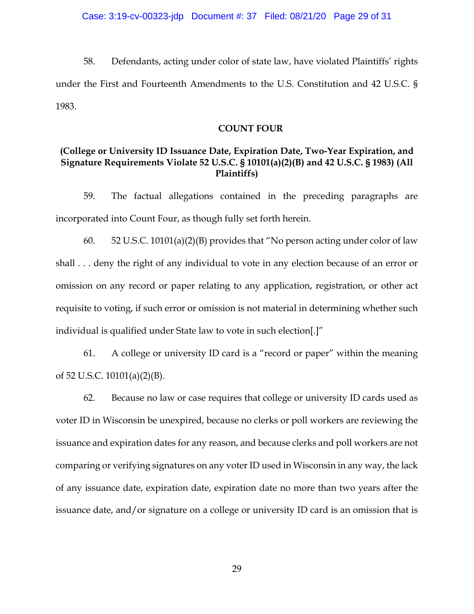Case: 3:19-cv-00323-jdp Document #: 37 Filed: 08/21/20 Page 29 of 31

58. Defendants, acting under color of state law, have violated Plaintiffs' rights under the First and Fourteenth Amendments to the U.S. Constitution and 42 U.S.C. § 1983.

#### **COUNT FOUR**

### **(College or University ID Issuance Date, Expiration Date, Two-Year Expiration, and Signature Requirements Violate 52 U.S.C. § 10101(a)(2)(B) and 42 U.S.C. § 1983) (All Plaintiffs)**

59. The factual allegations contained in the preceding paragraphs are incorporated into Count Four, as though fully set forth herein.

60. 52 U.S.C. 10101(a)(2)(B) provides that "No person acting under color of law shall . . . deny the right of any individual to vote in any election because of an error or omission on any record or paper relating to any application, registration, or other act requisite to voting, if such error or omission is not material in determining whether such individual is qualified under State law to vote in such election[.]"

61. A college or university ID card is a "record or paper" within the meaning of 52 U.S.C. 10101(a)(2)(B).

62. Because no law or case requires that college or university ID cards used as voter ID in Wisconsin be unexpired, because no clerks or poll workers are reviewing the issuance and expiration dates for any reason, and because clerks and poll workers are not comparing or verifying signatures on any voter ID used in Wisconsin in any way, the lack of any issuance date, expiration date, expiration date no more than two years after the issuance date, and/or signature on a college or university ID card is an omission that is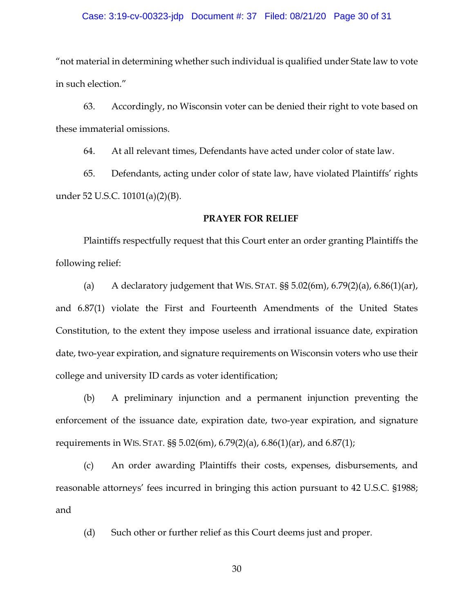#### Case: 3:19-cv-00323-jdp Document #: 37 Filed: 08/21/20 Page 30 of 31

"not material in determining whether such individual is qualified under State law to vote in such election."

63. Accordingly, no Wisconsin voter can be denied their right to vote based on these immaterial omissions.

64. At all relevant times, Defendants have acted under color of state law.

65. Defendants, acting under color of state law, have violated Plaintiffs' rights under 52 U.S.C. 10101(a)(2)(B).

#### **PRAYER FOR RELIEF**

Plaintiffs respectfully request that this Court enter an order granting Plaintiffs the following relief:

(a) A declaratory judgement that WIS. STAT.  $\S$ § 5.02(6m), 6.79(2)(a), 6.86(1)(ar), and 6.87(1) violate the First and Fourteenth Amendments of the United States Constitution, to the extent they impose useless and irrational issuance date, expiration date, two-year expiration, and signature requirements on Wisconsin voters who use their college and university ID cards as voter identification;

(b) A preliminary injunction and a permanent injunction preventing the enforcement of the issuance date, expiration date, two-year expiration, and signature requirements in WIS. STAT. §§ 5.02(6m), 6.79(2)(a), 6.86(1)(ar), and 6.87(1);

(c) An order awarding Plaintiffs their costs, expenses, disbursements, and reasonable attorneys' fees incurred in bringing this action pursuant to 42 U.S.C. §1988; and

(d) Such other or further relief as this Court deems just and proper.